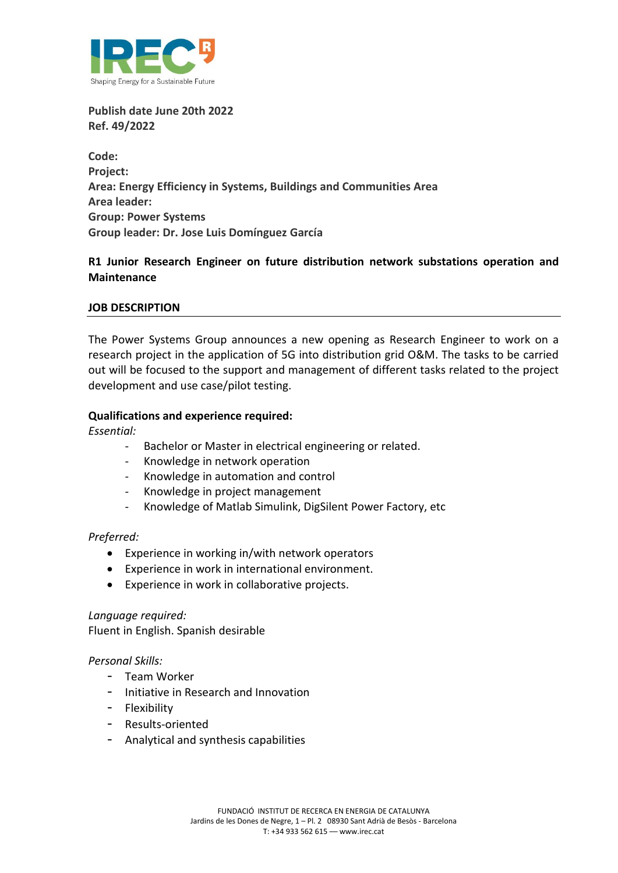

**Publish date June 20th 2022 Ref. 49/2022**

**Code: Project: Area: Energy Efficiency in Systems, Buildings and Communities Area Area leader: Group: Power Systems Group leader: Dr. Jose Luis Domínguez García**

# **R1 Junior Research Engineer on future distribution network substations operation and Maintenance**

# **JOB DESCRIPTION**

The Power Systems Group announces a new opening as Research Engineer to work on a research project in the application of 5G into distribution grid O&M. The tasks to be carried out will be focused to the support and management of different tasks related to the project development and use case/pilot testing.

# **Qualifications and experience required:**

*Essential:* 

- Bachelor or Master in electrical engineering or related.
- Knowledge in network operation
- Knowledge in automation and control
- Knowledge in project management
- Knowledge of Matlab Simulink, DigSilent Power Factory, etc

# *Preferred:*

- Experience in working in/with network operators
- Experience in work in international environment.
- Experience in work in collaborative projects.

#### *Language required:*

Fluent in English. Spanish desirable

# *Personal Skills:*

- Team Worker
- Initiative in Research and Innovation
- Flexibility
- Results-oriented
- Analytical and synthesis capabilities